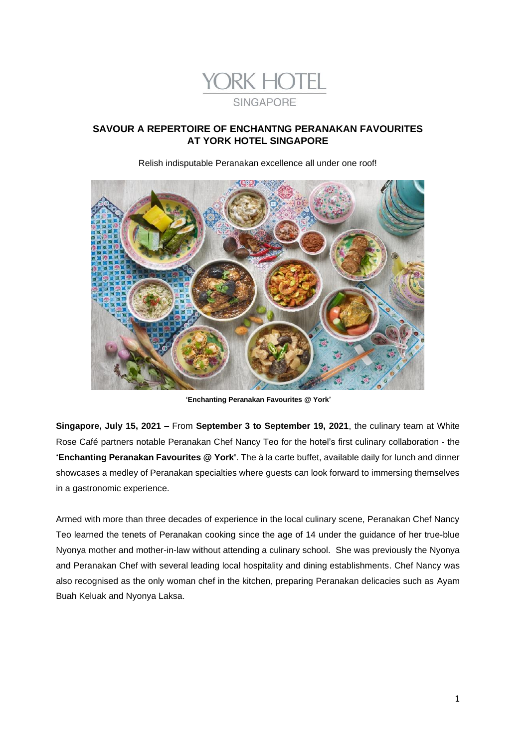

# **SAVOUR A REPERTOIRE OF ENCHANTNG PERANAKAN FAVOURITES AT YORK HOTEL SINGAPORE**

*Relish indisputable Peranakan excellence all under one roof!*



**'Enchanting Peranakan Favourites @ York'**

**Singapore, July 15, 2021 –** From **September 3 to September 19, 2021**, the culinary team at White Rose Café partners notable Peranakan Chef Nancy Teo for the hotel's first culinary collaboration - the **'Enchanting Peranakan Favourites @ York'**. The à la carte buffet, available daily for lunch and dinner showcases a medley of Peranakan specialties where guests can look forward to immersing themselves in a gastronomic experience.

Armed with more than three decades of experience in the local culinary scene, Peranakan Chef Nancy Teo learned the tenets of Peranakan cooking since the age of 14 under the guidance of her true-blue Nyonya mother and mother-in-law without attending a culinary school. She was previously the Nyonya and Peranakan Chef with several leading local hospitality and dining establishments. Chef Nancy was also recognised as the only woman chef in the kitchen, preparing Peranakan delicacies such as *Ayam Buah Keluak* and *Nyonya Laksa*.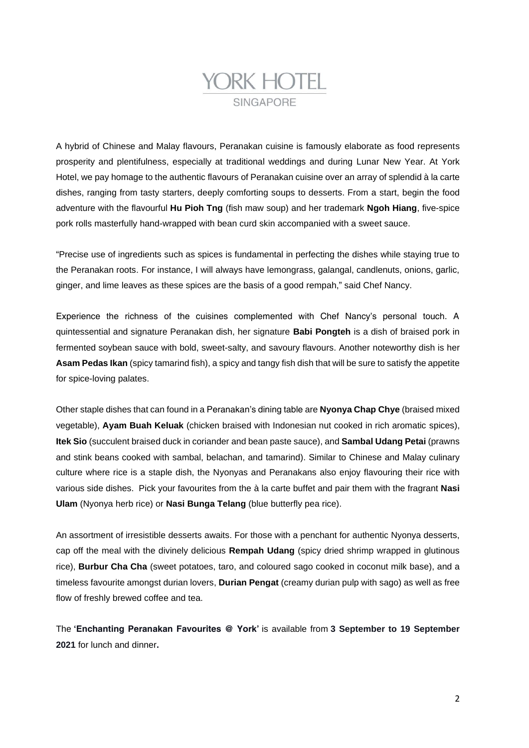# **YORK HOTEL SINGAPORE**

A hybrid of Chinese and Malay flavours, Peranakan cuisine is famously elaborate as food represents prosperity and plentifulness, especially at traditional weddings and during Lunar New Year. At York Hotel, we pay homage to the authentic flavours of Peranakan cuisine over an array of splendid à la carte dishes, ranging from tasty starters, deeply comforting soups to desserts. From a start, begin the food adventure with the flavourful *Hu Pioh Tng* (fish maw soup) and her trademark *Ngoh Hiang,* five-spice pork rolls masterfully hand-wrapped with bean curd skin accompanied with a sweet sauce.

"Precise use of ingredients such as spices is fundamental in perfecting the dishes while staying true to the Peranakan roots. For instance, I will always have lemongrass, galangal, candlenuts, onions, garlic, ginger, and lime leaves as these spices are the basis of a good *rempah*," said Chef Nancy.

Experience the richness of the cuisines complemented with Chef Nancy's personal touch. A quintessential and signature Peranakan dish, her signature *Babi Pongteh* is a dish of braised pork in fermented soybean sauce with bold, sweet-salty, and savoury flavours. Another noteworthy dish is her *Asam Pedas Ikan* (spicy tamarind fish), a spicy and tangy fish dish that will be sure to satisfy the appetite for spice-loving palates.

Other staple dishes that can found in a Peranakan's dining table are *Nyonya Chap Chye* (braised mixed vegetable), *Ayam Buah Keluak* (chicken braised with Indonesian nut cooked in rich aromatic spices), *Itek Sio* (succulent braised duck in coriander and bean paste sauce*),* and *Sambal Udang Petai* (prawns and stink beans cooked with *sambal, belachan*, and tamarind). Similar to Chinese and Malay culinary culture where rice is a staple dish, the Nyonyas and Peranakans also enjoy flavouring their rice with various side dishes. Pick your favourites from the à la carte buffet and pair them with the fragrant *Nasi Ulam* (Nyonya herb rice) or *Nasi Bunga Telang* (blue butterfly pea rice).

An assortment of irresistible desserts awaits. For those with a penchant for authentic Nyonya desserts, cap off the meal with the divinely delicious *Rempah Udang* (spicy dried shrimp wrapped in glutinous rice), *Burbur Cha Cha* (sweet potatoes, taro, and coloured sago cooked in coconut milk base), and a timeless favourite amongst durian lovers, *Durian Pengat* (creamy durian pulp with sago) as well as free flow of freshly brewed coffee and tea.

The **'Enchanting Peranakan Favourites @ York'** is available from **3 September to 19 September 2021** for lunch and dinner*.*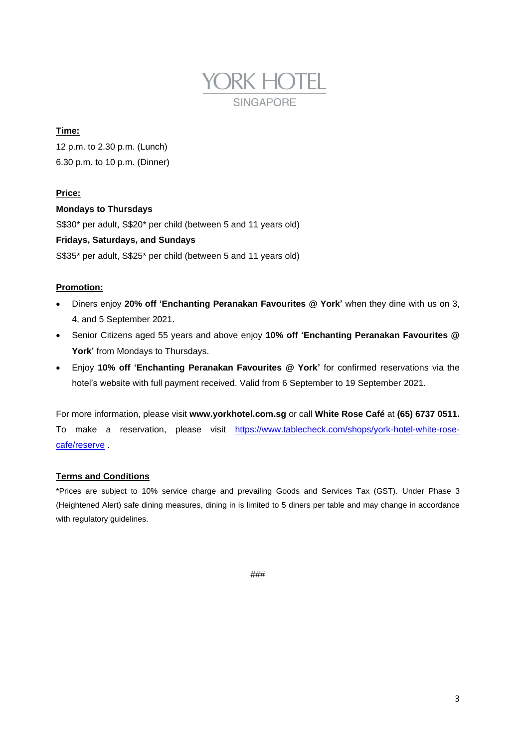

## **Time:**

12 p.m. to 2.30 p.m. (Lunch) 6.30 p.m. to 10 p.m. (Dinner)

## **Price:**

#### **Mondays to Thursdays**

S\$30\* per adult, S\$20\* per child (between 5 and 11 years old)

## **Fridays, Saturdays, and Sundays**

S\$35\* per adult, S\$25\* per child (between 5 and 11 years old)

## **Promotion:**

- Diners enjoy **20% off 'Enchanting Peranakan Favourites @ York'** when they dine with us on 3, 4, and 5 September 2021.
- Senior Citizens aged 55 years and above enjoy **10% off 'Enchanting Peranakan Favourites @ York'** from Mondays to Thursdays.
- Enjoy **10% off 'Enchanting Peranakan Favourites @ York'** for confirmed reservations via the hotel's website with full payment received. Valid from 6 September to 19 September 2021.

For more information, please visit **www.yorkhotel.com.sg** or call **White Rose Café** at **(65) 6737 0511.** To make a reservation, please visit [https://www.tablecheck.com/shops/york-hotel-white-rose](https://www.tablecheck.com/shops/york-hotel-white-rose-cafe/reserve)[cafe/reserve](https://www.tablecheck.com/shops/york-hotel-white-rose-cafe/reserve) .

#### **Terms and Conditions**

\*Prices are subject to 10% service charge and prevailing Goods and Services Tax (GST). Under Phase 3 (Heightened Alert) safe dining measures, dining in is limited to 5 diners per table and may change in accordance with regulatory guidelines.

###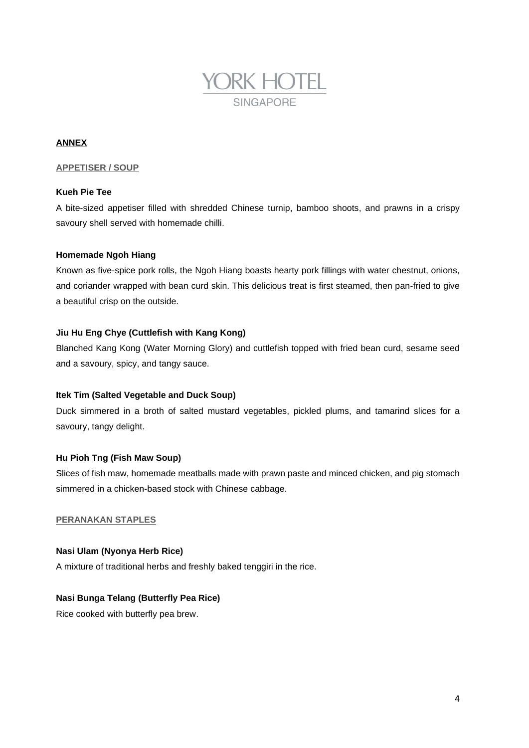

## **ANNEX**

#### **APPETISER / SOUP**

#### **Kueh Pie Tee**

A bite-sized appetiser filled with shredded Chinese turnip, bamboo shoots, and prawns in a crispy savoury shell served with homemade chilli.

#### **Homemade Ngoh Hiang**

Known as five-spice pork rolls, the *Ngoh Hiang* boasts hearty pork fillings with water chestnut, onions, and coriander wrapped with bean curd skin. This delicious treat is first steamed, then pan-fried to give a beautiful crisp on the outside.

#### **Jiu Hu Eng Chye (Cuttlefish with Kang Kong)**

Blanched *Kang Kong* (Water Morning Glory) and cuttlefish topped with fried bean curd, sesame seed and a savoury, spicy, and tangy sauce.

#### **Itek Tim (Salted Vegetable and Duck Soup)**

Duck simmered in a broth of salted mustard vegetables, pickled plums, and tamarind slices for a savoury, tangy delight.

#### **Hu Pioh Tng (Fish Maw Soup)**

Slices of fish maw, homemade meatballs made with prawn paste and minced chicken, and pig stomach simmered in a chicken-based stock with Chinese cabbage.

## **PERANAKAN STAPLES**

## **Nasi Ulam (Nyonya Herb Rice)**

A mixture of traditional herbs and freshly baked *tenggiri* in the rice.

#### **Nasi Bunga Telang (Butterfly Pea Rice)**

Rice cooked with butterfly pea brew.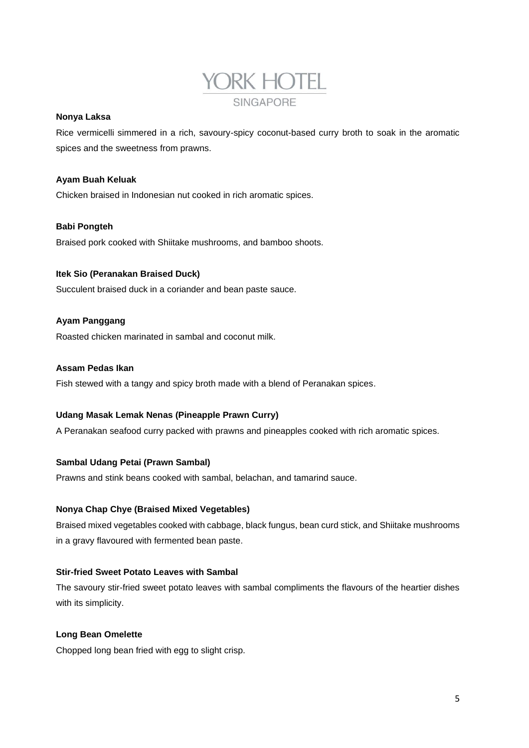

#### **Nonya Laksa**

Rice vermicelli simmered in a rich, savoury-spicy coconut-based curry broth to soak in the aromatic spices and the sweetness from prawns.

#### **Ayam Buah Keluak**

Chicken braised in Indonesian nut cooked in rich aromatic spices.

## **Babi Pongteh**

Braised pork cooked with *Shiitake* mushrooms, and bamboo shoots.

#### **Itek Sio (Peranakan Braised Duck)**

Succulent braised duck in a coriander and bean paste sauce.

#### **Ayam Panggang**

Roasted chicken marinated in *sambal* and coconut milk.

#### **Assam Pedas Ikan**

Fish stewed with a tangy and spicy broth made with a blend of Peranakan spices.

#### **Udang Masak Lemak Nenas (Pineapple Prawn Curry)**

A Peranakan seafood curry packed with prawns and pineapples cooked with rich aromatic spices.

#### **Sambal Udang Petai (Prawn Sambal)**

Prawns and stink beans cooked with *sambal, belachan*, and tamarind sauce.

## **Nonya Chap Chye (Braised Mixed Vegetables)**

Braised mixed vegetables cooked with cabbage, black fungus, bean curd stick, and *Shiitake* mushrooms in a gravy flavoured with fermented bean paste.

#### **Stir-fried Sweet Potato Leaves with Sambal**

The savoury stir-fried sweet potato leaves with *sambal* compliments the flavours of the heartier dishes with its simplicity.

#### **Long Bean Omelette**

Chopped long bean fried with egg to slight crisp.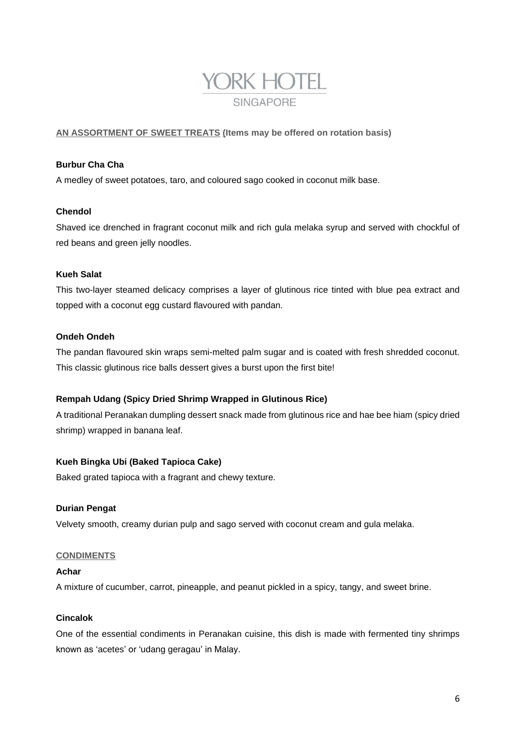

# **AN ASSORTMENT OF SWEET TREATS (Items may be offered on rotation basis)**

#### **Burbur Cha Cha**

A medley of sweet potatoes, taro, and coloured sago cooked in coconut milk base.

## **Chendol**

Shaved ice drenched in fragrant coconut milk and rich *gula melaka* syrup and served with chockful of red beans and green jelly noodles.

#### **Kueh Salat**

This two-layer steamed delicacy comprises a layer of glutinous rice tinted with blue pea extract and topped with a coconut egg custard flavoured with pandan.

## **Ondeh Ondeh**

The pandan flavoured skin wraps semi-melted palm sugar and is coated with fresh shredded coconut. This classic glutinous rice balls dessert gives a burst upon the first bite!

#### **Rempah Udang (Spicy Dried Shrimp Wrapped in Glutinous Rice)**

A traditional Peranakan dumpling dessert snack made from glutinous rice and *hae bee hiam* (spicy dried shrimp) wrapped in banana leaf.

# **Kueh Bingka Ubi (Baked Tapioca Cake)**

Baked grated tapioca with a fragrant and chewy texture.

#### **Durian Pengat**

Velvety smooth, creamy durian pulp and sago served with coconut cream and *gula melaka.*

#### **CONDIMENTS**

#### *Achar*

A mixture of cucumber, carrot, pineapple, and peanut pickled in a spicy, tangy, and sweet brine.

### *Cincalok*

One of the essential condiments in Peranakan cuisine, this dish is made with fermented tiny shrimps known as 'acetes' or '*udang geragau*' in Malay.